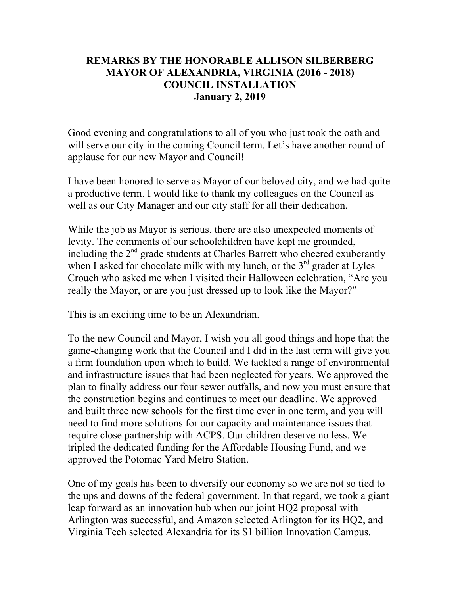## **REMARKS BY THE HONORABLE ALLISON SILBERBERG MAYOR OF ALEXANDRIA, VIRGINIA (2016 - 2018) COUNCIL INSTALLATION January 2, 2019**

Good evening and congratulations to all of you who just took the oath and will serve our city in the coming Council term. Let's have another round of applause for our new Mayor and Council!

I have been honored to serve as Mayor of our beloved city, and we had quite a productive term. I would like to thank my colleagues on the Council as well as our City Manager and our city staff for all their dedication.

While the job as Mayor is serious, there are also unexpected moments of levity. The comments of our schoolchildren have kept me grounded, including the  $2<sup>nd</sup>$  grade students at Charles Barrett who cheered exuberantly when I asked for chocolate milk with my lunch, or the  $3<sup>rd</sup>$  grader at Lyles Crouch who asked me when I visited their Halloween celebration, "Are you really the Mayor, or are you just dressed up to look like the Mayor?"

This is an exciting time to be an Alexandrian.

To the new Council and Mayor, I wish you all good things and hope that the game-changing work that the Council and I did in the last term will give you a firm foundation upon which to build. We tackled a range of environmental and infrastructure issues that had been neglected for years. We approved the plan to finally address our four sewer outfalls, and now you must ensure that the construction begins and continues to meet our deadline. We approved and built three new schools for the first time ever in one term, and you will need to find more solutions for our capacity and maintenance issues that require close partnership with ACPS. Our children deserve no less. We tripled the dedicated funding for the Affordable Housing Fund, and we approved the Potomac Yard Metro Station.

One of my goals has been to diversify our economy so we are not so tied to the ups and downs of the federal government. In that regard, we took a giant leap forward as an innovation hub when our joint HQ2 proposal with Arlington was successful, and Amazon selected Arlington for its HQ2, and Virginia Tech selected Alexandria for its \$1 billion Innovation Campus.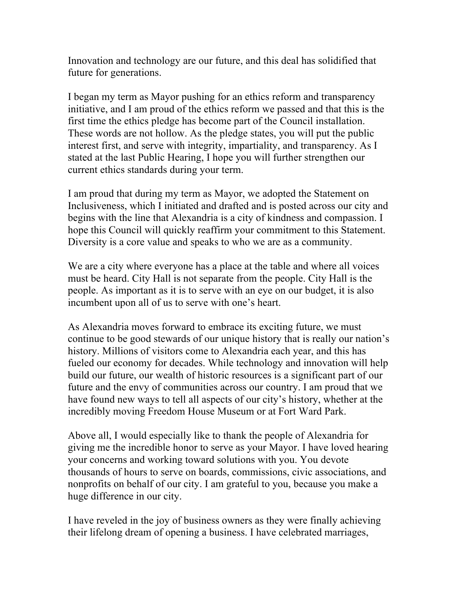Innovation and technology are our future, and this deal has solidified that future for generations.

I began my term as Mayor pushing for an ethics reform and transparency initiative, and I am proud of the ethics reform we passed and that this is the first time the ethics pledge has become part of the Council installation. These words are not hollow. As the pledge states, you will put the public interest first, and serve with integrity, impartiality, and transparency. As I stated at the last Public Hearing, I hope you will further strengthen our current ethics standards during your term.

I am proud that during my term as Mayor, we adopted the Statement on Inclusiveness, which I initiated and drafted and is posted across our city and begins with the line that Alexandria is a city of kindness and compassion. I hope this Council will quickly reaffirm your commitment to this Statement. Diversity is a core value and speaks to who we are as a community.

We are a city where everyone has a place at the table and where all voices must be heard. City Hall is not separate from the people. City Hall is the people. As important as it is to serve with an eye on our budget, it is also incumbent upon all of us to serve with one's heart.

As Alexandria moves forward to embrace its exciting future, we must continue to be good stewards of our unique history that is really our nation's history. Millions of visitors come to Alexandria each year, and this has fueled our economy for decades. While technology and innovation will help build our future, our wealth of historic resources is a significant part of our future and the envy of communities across our country. I am proud that we have found new ways to tell all aspects of our city's history, whether at the incredibly moving Freedom House Museum or at Fort Ward Park.

Above all, I would especially like to thank the people of Alexandria for giving me the incredible honor to serve as your Mayor. I have loved hearing your concerns and working toward solutions with you. You devote thousands of hours to serve on boards, commissions, civic associations, and nonprofits on behalf of our city. I am grateful to you, because you make a huge difference in our city.

I have reveled in the joy of business owners as they were finally achieving their lifelong dream of opening a business. I have celebrated marriages,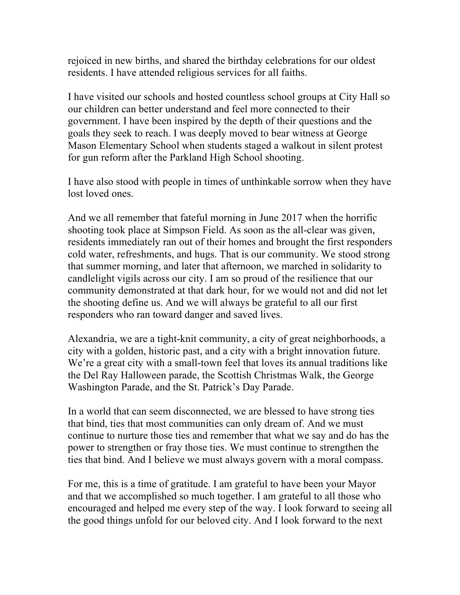rejoiced in new births, and shared the birthday celebrations for our oldest residents. I have attended religious services for all faiths.

I have visited our schools and hosted countless school groups at City Hall so our children can better understand and feel more connected to their government. I have been inspired by the depth of their questions and the goals they seek to reach. I was deeply moved to bear witness at George Mason Elementary School when students staged a walkout in silent protest for gun reform after the Parkland High School shooting.

I have also stood with people in times of unthinkable sorrow when they have lost loved ones.

And we all remember that fateful morning in June 2017 when the horrific shooting took place at Simpson Field. As soon as the all-clear was given, residents immediately ran out of their homes and brought the first responders cold water, refreshments, and hugs. That is our community. We stood strong that summer morning, and later that afternoon, we marched in solidarity to candlelight vigils across our city. I am so proud of the resilience that our community demonstrated at that dark hour, for we would not and did not let the shooting define us. And we will always be grateful to all our first responders who ran toward danger and saved lives.

Alexandria, we are a tight-knit community, a city of great neighborhoods, a city with a golden, historic past, and a city with a bright innovation future. We're a great city with a small-town feel that loves its annual traditions like the Del Ray Halloween parade, the Scottish Christmas Walk, the George Washington Parade, and the St. Patrick's Day Parade.

In a world that can seem disconnected, we are blessed to have strong ties that bind, ties that most communities can only dream of. And we must continue to nurture those ties and remember that what we say and do has the power to strengthen or fray those ties. We must continue to strengthen the ties that bind. And I believe we must always govern with a moral compass.

For me, this is a time of gratitude. I am grateful to have been your Mayor and that we accomplished so much together. I am grateful to all those who encouraged and helped me every step of the way. I look forward to seeing all the good things unfold for our beloved city. And I look forward to the next